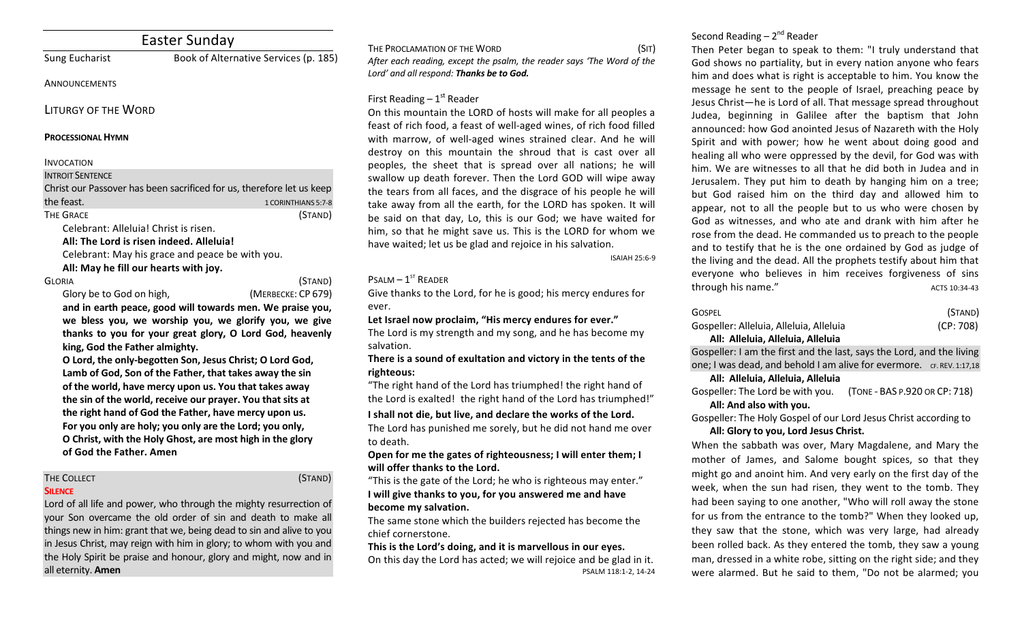# Easter Sunday

Sung Eucharist **Book of Alternative Services** (p. 185)

### **ANNOUNCEMENTS**

LITURGY OF THE WORD

#### **PROCESSIONAL HYMN**

#### INVOCATION

#### **INTROIT SENTENCE**

Christ our Passover has been sacrificed for us, therefore let us keep the feast. The feast of the control of the control of the control of the control of the control of the control of the control of the control of the control of the control of the control of the control of the control of the THE GRACE (STAND) Celebrant: Alleluia! Christ is risen.

All: The Lord is risen indeed. Alleluia!

Celebrant: May his grace and peace be with you.

All: May he fill our hearts with joy.

GLORIA (STAND) Glory be to God on high, *(MERBECKE: CP 679)* 

and in earth peace, good will towards men. We praise you, we bless you, we worship you, we glorify you, we give thanks to you for your great glory, O Lord God, heavenly king, God the Father almighty.

O Lord, the only-begotten Son, Jesus Christ; O Lord God, Lamb of God, Son of the Father, that takes away the sin of the world, have mercy upon us. You that takes away the sin of the world, receive our prayer. You that sits at the right hand of God the Father, have mercy upon us. For you only are holy; you only are the Lord; you only, **O** Christ, with the Holy Ghost, are most high in the glory **of God the Father. Amen**

# THE COLLECT **THE COLLECT COLLECT COLLECT COLLECT COLLECT COLLECT COLLECT COLLECT COLLECT COLLECT**

# **SILENCE**

Lord of all life and power, who through the mighty resurrection of your Son overcame the old order of sin and death to make all things new in him: grant that we, being dead to sin and alive to you in Jesus Christ, may reign with him in glory; to whom with you and the Holy Spirit be praise and honour, glory and might, now and in all eternity. **Amen** 

THE PROCLAMATION OF THE WORD (SIT) After each reading, except the psalm, the reader says 'The Word of the Lord' and all respond: Thanks be to God.

# First Reading  $-1<sup>st</sup>$  Reader

On this mountain the LORD of hosts will make for all peoples a feast of rich food, a feast of well-aged wines, of rich food filled with marrow, of well-aged wines strained clear. And he will destroy on this mountain the shroud that is cast over all peoples, the sheet that is spread over all nations; he will swallow up death forever. Then the Lord GOD will wipe away the tears from all faces, and the disgrace of his people he will take away from all the earth, for the LORD has spoken. It will be said on that day, Lo, this is our God; we have waited for him, so that he might save us. This is the LORD for whom we have waited; let us be glad and rejoice in his salvation.

ISAIAH 25:6-9

# $P$ SALM –  $1<sup>ST</sup>$  READER

Give thanks to the Lord, for he is good; his mercy endures for ever.

Let Israel now proclaim, "His mercy endures for ever."

The Lord is my strength and my song, and he has become my salvation.

### There is a sound of exultation and victory in the tents of the **righteous:**

"The right hand of the Lord has triumphed! the right hand of the Lord is exalted! the right hand of the Lord has triumphed!"

#### **I** shall not die, but live, and declare the works of the Lord.

The Lord has punished me sorely, but he did not hand me over to death.

Open for me the gates of righteousness; I will enter them; I will offer thanks to the Lord.

"This is the gate of the Lord; he who is righteous may enter." **I** will give thanks to you, for you answered me and have become my salvation.

The same stone which the builders rejected has become the chief cornerstone.

## This is the Lord's doing, and it is marvellous in our eyes.

On this day the Lord has acted; we will rejoice and be glad in it. PSALM 118:1-2, 14-24

# Second Reading  $-2<sup>nd</sup>$  Reader

Then Peter began to speak to them: "I truly understand that God shows no partiality, but in every nation anyone who fears him and does what is right is acceptable to him. You know the message he sent to the people of Israel, preaching peace by Jesus Christ-he is Lord of all. That message spread throughout Judea, beginning in Galilee after the baptism that John announced: how God anointed Jesus of Nazareth with the Holy Spirit and with power; how he went about doing good and healing all who were oppressed by the devil, for God was with him. We are witnesses to all that he did both in Judea and in Jerusalem. They put him to death by hanging him on a tree; but God raised him on the third day and allowed him to appear, not to all the people but to us who were chosen by God as witnesses, and who ate and drank with him after he rose from the dead. He commanded us to preach to the people and to testify that he is the one ordained by God as judge of the living and the dead. All the prophets testify about him that everyone who believes in him receives forgiveness of sins through his name." The contract of the contract of the contract of the contract of the contract of the contract of the contract of the contract of the contract of the contract of the contract of the contract of the contrac

| GOSPEL                                  | (STAND)   |
|-----------------------------------------|-----------|
| Gospeller: Alleluia, Alleluia, Alleluia | (CP: 708) |
| All: Alleluia, Alleluia, Alleluia       |           |

Gospeller: I am the first and the last, says the Lord, and the living one; I was dead, and behold I am alive for evermore. CF. REV. 1:17,18

#### **All: Alleluia, Alleluia, Alleluia**

Gospeller: The Lord be with you. (TONE - BAS P.920 OR CP: 718) All: And also with you.

Gospeller: The Holy Gospel of our Lord Jesus Christ according to All: Glory to you, Lord Jesus Christ.

When the sabbath was over, Mary Magdalene, and Mary the mother of James, and Salome bought spices, so that they might go and anoint him. And very early on the first day of the week, when the sun had risen, they went to the tomb. They had been saying to one another, "Who will roll away the stone for us from the entrance to the tomb?" When they looked up, they saw that the stone, which was very large, had already been rolled back. As they entered the tomb, they saw a young man, dressed in a white robe, sitting on the right side; and they were alarmed. But he said to them. "Do not be alarmed: you